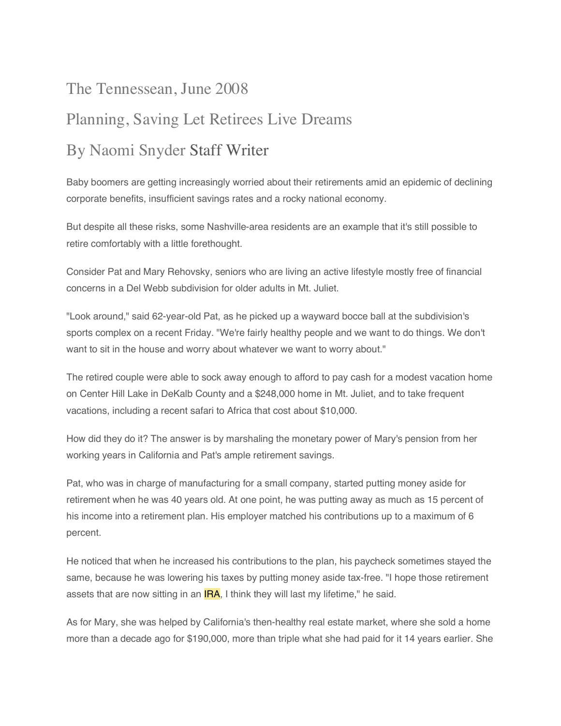## The Tennessean, June 2008 Planning, Saving Let Retirees Live Dreams By Naomi Snyder Staff Writer

Baby boomers are getting increasingly worried about their retirements amid an epidemic of declining corporate benefits, insufficient savings rates and a rocky national economy.

But despite all these risks, some Nashville-area residents are an example that it's still possible to retire comfortably with a little forethought.

Consider Pat and Mary Rehovsky, seniors who are living an active lifestyle mostly free of financial concerns in a Del Webb subdivision for older adults in Mt. Juliet.

"Look around," said 62-year-old Pat, as he picked up a wayward bocce ball at the subdivision's sports complex on a recent Friday. "We're fairly healthy people and we want to do things. We don't want to sit in the house and worry about whatever we want to worry about."

The retired couple were able to sock away enough to afford to pay cash for a modest vacation home on Center Hill Lake in DeKalb County and a \$248,000 home in Mt. Juliet, and to take frequent vacations, including a recent safari to Africa that cost about \$10,000.

How did they do it? The answer is by marshaling the monetary power of Mary's pension from her working years in California and Pat's ample retirement savings.

Pat, who was in charge of manufacturing for a small company, started putting money aside for retirement when he was 40 years old. At one point, he was putting away as much as 15 percent of his income into a retirement plan. His employer matched his contributions up to a maximum of 6 percent.

He noticed that when he increased his contributions to the plan, his paycheck sometimes stayed the same, because he was lowering his taxes by putting money aside tax-free. "I hope those retirement assets that are now sitting in an  $IRA$ , I think they will last my lifetime," he said.

As for Mary, she was helped by California's then-healthy real estate market, where she sold a home more than a decade ago for \$190,000, more than triple what she had paid for it 14 years earlier. She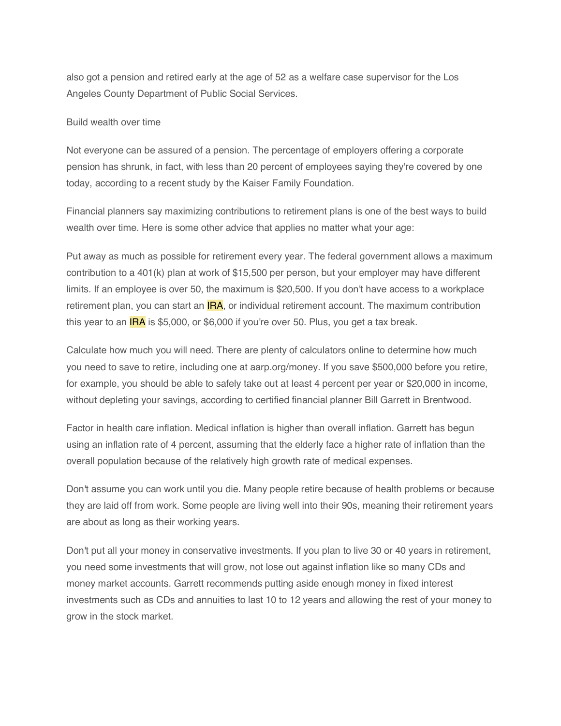also got a pension and retired early at the age of 52 as a welfare case supervisor for the Los Angeles County Department of Public Social Services.

## Build wealth over time

Not everyone can be assured of a pension. The percentage of employers offering a corporate pension has shrunk, in fact, with less than 20 percent of employees saying they're covered by one today, according to a recent study by the Kaiser Family Foundation.

Financial planners say maximizing contributions to retirement plans is one of the best ways to build wealth over time. Here is some other advice that applies no matter what your age:

Put away as much as possible for retirement every year. The federal government allows a maximum contribution to a 401(k) plan at work of \$15,500 per person, but your employer may have different limits. If an employee is over 50, the maximum is \$20,500. If you don't have access to a workplace retirement plan, you can start an **IRA**, or individual retirement account. The maximum contribution this year to an  $IRA$  is \$5,000, or \$6,000 if you're over 50. Plus, you get a tax break.

Calculate how much you will need. There are plenty of calculators online to determine how much you need to save to retire, including one at aarp.org/money. If you save \$500,000 before you retire, for example, you should be able to safely take out at least 4 percent per year or \$20,000 in income, without depleting your savings, according to certified financial planner Bill Garrett in Brentwood.

Factor in health care inflation. Medical inflation is higher than overall inflation. Garrett has begun using an inflation rate of 4 percent, assuming that the elderly face a higher rate of inflation than the overall population because of the relatively high growth rate of medical expenses.

Don't assume you can work until you die. Many people retire because of health problems or because they are laid off from work. Some people are living well into their 90s, meaning their retirement years are about as long as their working years.

Don't put all your money in conservative investments. If you plan to live 30 or 40 years in retirement, you need some investments that will grow, not lose out against inflation like so many CDs and money market accounts. Garrett recommends putting aside enough money in fixed interest investments such as CDs and annuities to last 10 to 12 years and allowing the rest of your money to grow in the stock market.